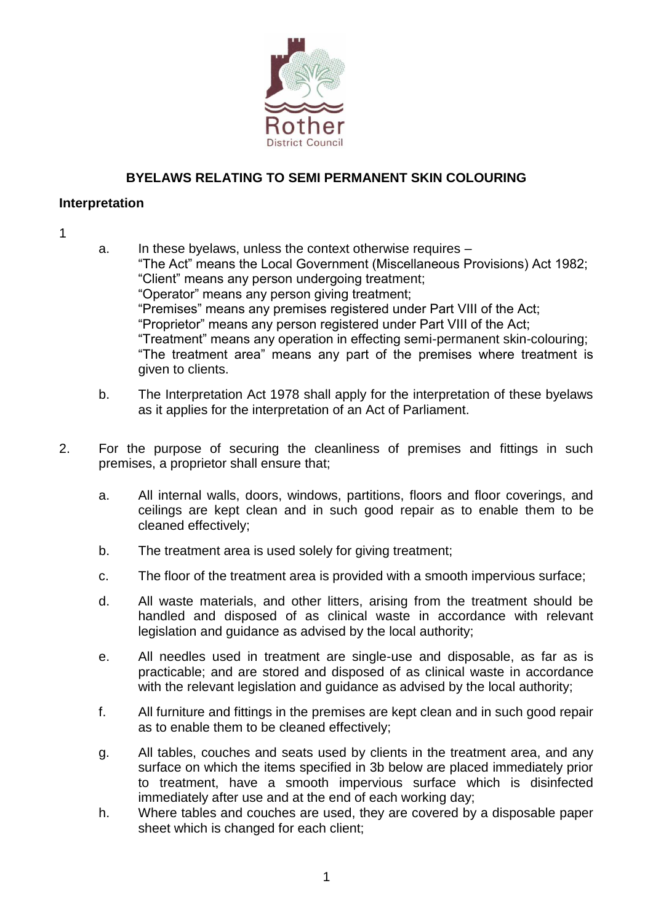

## **BYELAWS RELATING TO SEMI PERMANENT SKIN COLOURING**

## **Interpretation**

## 1

- a. In these byelaws, unless the context otherwise requires "The Act" means the Local Government (Miscellaneous Provisions) Act 1982; "Client" means any person undergoing treatment; "Operator" means any person giving treatment; "Premises" means any premises registered under Part VIII of the Act; "Proprietor" means any person registered under Part VIII of the Act; "Treatment" means any operation in effecting semi-permanent skin-colouring; "The treatment area" means any part of the premises where treatment is given to clients.
- b. The Interpretation Act 1978 shall apply for the interpretation of these byelaws as it applies for the interpretation of an Act of Parliament.
- 2. For the purpose of securing the cleanliness of premises and fittings in such premises, a proprietor shall ensure that;
	- a. All internal walls, doors, windows, partitions, floors and floor coverings, and ceilings are kept clean and in such good repair as to enable them to be cleaned effectively;
	- b. The treatment area is used solely for giving treatment;
	- c. The floor of the treatment area is provided with a smooth impervious surface;
	- d. All waste materials, and other litters, arising from the treatment should be handled and disposed of as clinical waste in accordance with relevant legislation and guidance as advised by the local authority;
	- e. All needles used in treatment are single-use and disposable, as far as is practicable; and are stored and disposed of as clinical waste in accordance with the relevant legislation and guidance as advised by the local authority;
	- f. All furniture and fittings in the premises are kept clean and in such good repair as to enable them to be cleaned effectively;
	- g. All tables, couches and seats used by clients in the treatment area, and any surface on which the items specified in 3b below are placed immediately prior to treatment, have a smooth impervious surface which is disinfected immediately after use and at the end of each working day;
	- h. Where tables and couches are used, they are covered by a disposable paper sheet which is changed for each client;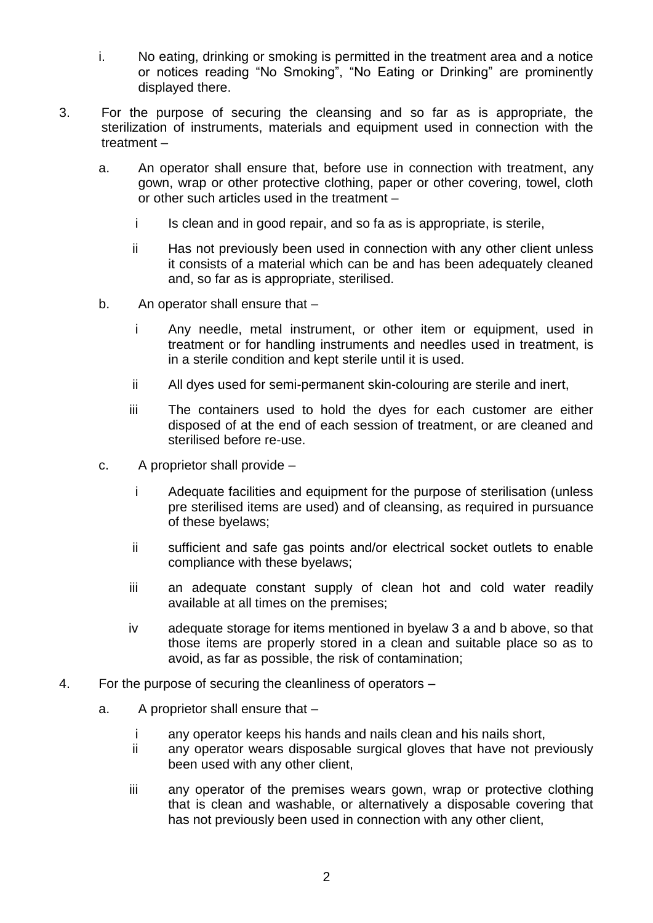- i. No eating, drinking or smoking is permitted in the treatment area and a notice or notices reading "No Smoking", "No Eating or Drinking" are prominently displayed there.
- 3. For the purpose of securing the cleansing and so far as is appropriate, the sterilization of instruments, materials and equipment used in connection with the treatment –
	- a. An operator shall ensure that, before use in connection with treatment, any gown, wrap or other protective clothing, paper or other covering, towel, cloth or other such articles used in the treatment –
		- i Is clean and in good repair, and so fa as is appropriate, is sterile,
		- ii Has not previously been used in connection with any other client unless it consists of a material which can be and has been adequately cleaned and, so far as is appropriate, sterilised.
	- b. An operator shall ensure that
		- i Any needle, metal instrument, or other item or equipment, used in treatment or for handling instruments and needles used in treatment, is in a sterile condition and kept sterile until it is used.
		- ii All dyes used for semi-permanent skin-colouring are sterile and inert,
		- iii The containers used to hold the dyes for each customer are either disposed of at the end of each session of treatment, or are cleaned and sterilised before re-use.
	- c. A proprietor shall provide
		- i Adequate facilities and equipment for the purpose of sterilisation (unless pre sterilised items are used) and of cleansing, as required in pursuance of these byelaws;
		- ii sufficient and safe gas points and/or electrical socket outlets to enable compliance with these byelaws;
		- iii an adequate constant supply of clean hot and cold water readily available at all times on the premises;
		- iv adequate storage for items mentioned in byelaw 3 a and b above, so that those items are properly stored in a clean and suitable place so as to avoid, as far as possible, the risk of contamination;
- 4. For the purpose of securing the cleanliness of operators
	- a. A proprietor shall ensure that
		- i any operator keeps his hands and nails clean and his nails short,
		- ii any operator wears disposable surgical gloves that have not previously been used with any other client,
		- iii any operator of the premises wears gown, wrap or protective clothing that is clean and washable, or alternatively a disposable covering that has not previously been used in connection with any other client,